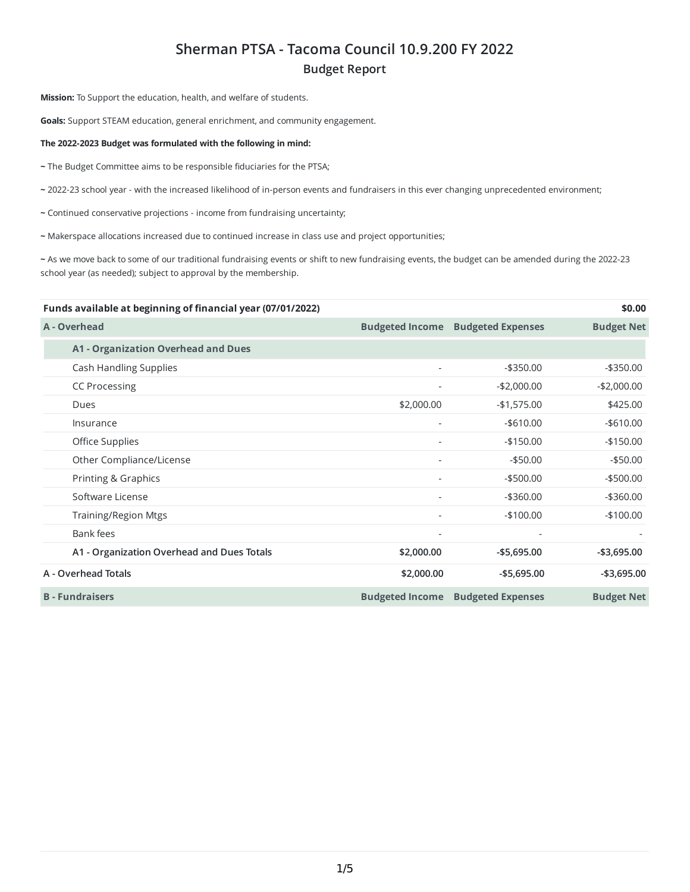## **Sherman PTSA - Tacoma Council 10.9.200 FY 2022 Budget Report**

**Mission:** To Support the education, health, and welfare of students.

**Goals:** Support STEAM education, general enrichment, and community engagement.

## **The 2022-2023 Budget was formulated with the following in mind:**

**~** The Budget Committee aims to be responsible fiduciaries for the PTSA;

**~** 2022-23 school year - with the increased likelihood of in-person events and fundraisers in this ever changing unprecedented environment;

- **~** Continued conservative projections income from fundraising uncertainty;
- **~** Makerspace allocations increased due to continued increase in class use and project opportunities;

**~** As we move back to some of our traditional fundraising events or shift to new fundraising events, the budget can be amended during the 2022-23 school year (as needed); subject to approval by the membership.

| Funds available at beginning of financial year (07/01/2022) |                          |                          | \$0.00            |
|-------------------------------------------------------------|--------------------------|--------------------------|-------------------|
| A - Overhead                                                | <b>Budgeted Income</b>   | <b>Budgeted Expenses</b> | <b>Budget Net</b> |
| <b>A1 - Organization Overhead and Dues</b>                  |                          |                          |                   |
| Cash Handling Supplies                                      | ٠                        | $-$ \$350.00             | $-$ \$350.00      |
| <b>CC Processing</b>                                        |                          | $-$2,000.00$             | $-$2,000.00$      |
| Dues                                                        | \$2,000.00               | $-$1,575.00$             | \$425.00          |
| Insurance                                                   | ٠                        | $-$ \$610.00             | $-$ \$610.00      |
| Office Supplies                                             |                          | $-$ \$150.00             | $-$150.00$        |
| Other Compliance/License                                    |                          | $-$ \$50.00              | $-$50.00$         |
| Printing & Graphics                                         |                          | $-$ \$500.00             | $-$ \$500.00      |
| Software License                                            | $\overline{a}$           | $-$ \$360.00             | $-$ \$360.00      |
| <b>Training/Region Mtgs</b>                                 | $\overline{\phantom{0}}$ | $-$100.00$               | $-$100.00$        |
| Bank fees                                                   | ÷,                       |                          |                   |
| A1 - Organization Overhead and Dues Totals                  | \$2,000.00               | $-$5,695.00$             | $-$ \$3,695.00    |
| A - Overhead Totals                                         | \$2,000.00               | $-$5,695.00$             | $-$ \$3,695.00    |
| <b>B</b> - Fundraisers                                      | <b>Budgeted Income</b>   | <b>Budgeted Expenses</b> | <b>Budget Net</b> |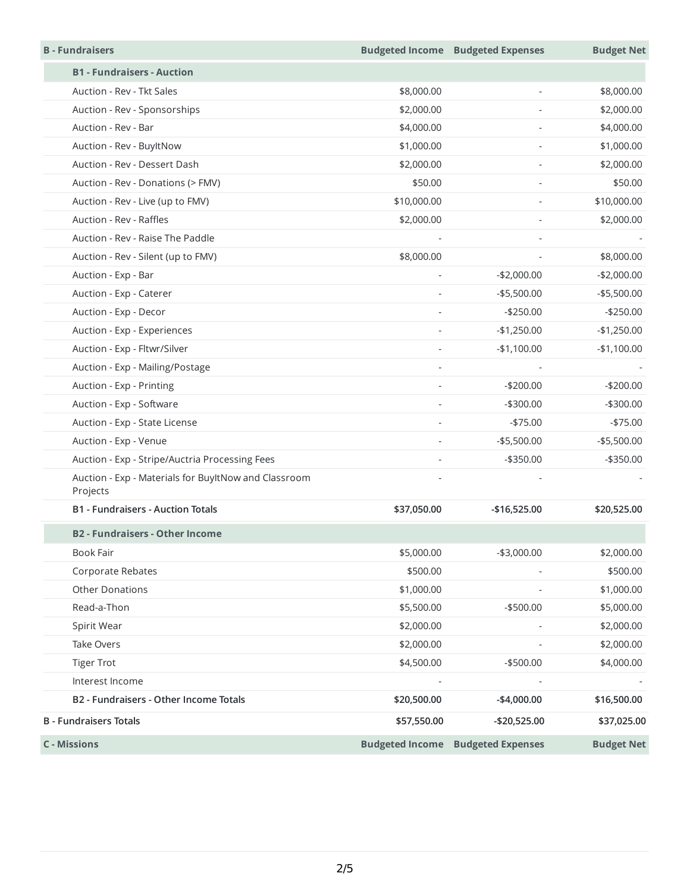| <b>B</b> - Fundraisers                                           |                          | <b>Budgeted Income Budgeted Expenses</b> | <b>Budget Net</b> |
|------------------------------------------------------------------|--------------------------|------------------------------------------|-------------------|
| <b>B1 - Fundraisers - Auction</b>                                |                          |                                          |                   |
| Auction - Rev - Tkt Sales                                        | \$8,000.00               | $\sim$                                   | \$8,000.00        |
| Auction - Rev - Sponsorships                                     | \$2,000.00               | ÷,                                       | \$2,000.00        |
| Auction - Rev - Bar                                              | \$4,000.00               |                                          | \$4,000.00        |
| Auction - Rev - BuyltNow                                         | \$1,000.00               |                                          | \$1,000.00        |
| Auction - Rev - Dessert Dash                                     | \$2,000.00               | $\overline{\phantom{a}}$                 | \$2,000.00        |
| Auction - Rev - Donations (> FMV)                                | \$50.00                  | ÷.                                       | \$50.00           |
| Auction - Rev - Live (up to FMV)                                 | \$10,000.00              |                                          | \$10,000.00       |
| Auction - Rev - Raffles                                          | \$2,000.00               |                                          | \$2,000.00        |
| Auction - Rev - Raise The Paddle                                 | $\bar{a}$                |                                          |                   |
| Auction - Rev - Silent (up to FMV)                               | \$8,000.00               |                                          | \$8,000.00        |
| Auction - Exp - Bar                                              |                          | $-$2,000.00$                             | $-$2,000.00$      |
| Auction - Exp - Caterer                                          |                          | $-$ \$5,500.00                           | $-$5,500.00$      |
| Auction - Exp - Decor                                            | $\sim$                   | $-$250.00$                               | $-$250.00$        |
| Auction - Exp - Experiences                                      | $\overline{\phantom{a}}$ | $-$1,250.00$                             | $-$1,250.00$      |
| Auction - Exp - Fltwr/Silver                                     |                          | $-$1,100.00$                             | $-$1,100.00$      |
| Auction - Exp - Mailing/Postage                                  | $\sim$                   | $\sim$                                   |                   |
| Auction - Exp - Printing                                         |                          | $-$200.00$                               | $-$200.00$        |
| Auction - Exp - Software                                         |                          | $-$ \$300.00                             | $-$300.00$        |
| Auction - Exp - State License                                    | $\sim$                   | $-$75.00$                                | $-$75.00$         |
| Auction - Exp - Venue                                            | $\overline{a}$           | $- $5,500.00$                            | $-$5,500.00$      |
| Auction - Exp - Stripe/Auctria Processing Fees                   |                          | $-$ \$350.00                             | $-$ \$350.00      |
| Auction - Exp - Materials for BuyltNow and Classroom<br>Projects |                          |                                          |                   |
| <b>B1 - Fundraisers - Auction Totals</b>                         | \$37,050.00              | $-$16,525.00$                            | \$20,525.00       |
| <b>B2 - Fundraisers - Other Income</b>                           |                          |                                          |                   |
| <b>Book Fair</b>                                                 | \$5,000.00               | $-$3,000.00$                             | \$2,000.00        |
| Corporate Rebates                                                | \$500.00                 |                                          | \$500.00          |
| <b>Other Donations</b>                                           | \$1,000.00               |                                          | \$1,000.00        |
| Read-a-Thon                                                      | \$5,500.00               | $-$500.00$                               | \$5,000.00        |
| Spirit Wear                                                      | \$2,000.00               |                                          | \$2,000.00        |
| Take Overs                                                       | \$2,000.00               | $\sim$                                   | \$2,000.00        |
| <b>Tiger Trot</b>                                                | \$4,500.00               | $-$500.00$                               | \$4,000.00        |
| Interest Income                                                  |                          |                                          |                   |
| B2 - Fundraisers - Other Income Totals                           | \$20,500.00              | $-$4,000.00$                             | \$16,500.00       |
| <b>B</b> - Fundraisers Totals                                    | \$57,550.00              | -\$20,525.00                             | \$37,025.00       |
| <b>C</b> - Missions                                              |                          | <b>Budgeted Income Budgeted Expenses</b> | <b>Budget Net</b> |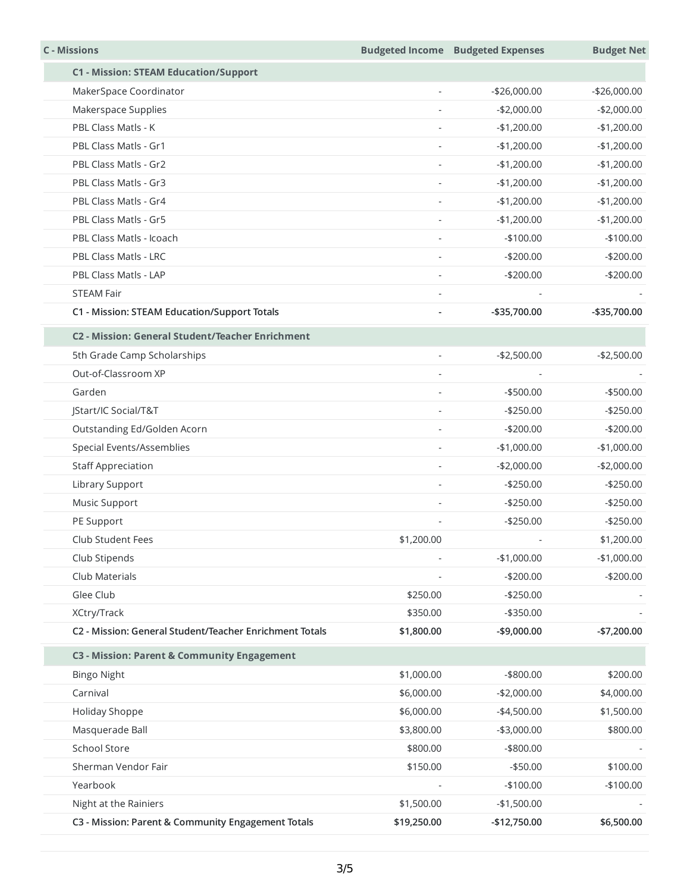| <b>C</b> - Missions                                     |                          | <b>Budgeted Income Budgeted Expenses</b> | <b>Budget Net</b> |
|---------------------------------------------------------|--------------------------|------------------------------------------|-------------------|
| <b>C1 - Mission: STEAM Education/Support</b>            |                          |                                          |                   |
| MakerSpace Coordinator                                  |                          | $-$26,000.00$                            | $-$26,000.00$     |
| Makerspace Supplies                                     |                          | $-$2,000.00$                             | $-$2,000.00$      |
| PBL Class Matls - K                                     |                          | $-$1,200.00$                             | $-$1,200.00$      |
| PBL Class Matls - Gr1                                   | L,                       | $-$1,200.00$                             | $-$1,200.00$      |
| PBL Class Matls - Gr2                                   |                          | $-$1,200.00$                             | $-$1,200.00$      |
| PBL Class Matls - Gr3                                   | ÷,                       | $-$1,200.00$                             | $-$1,200.00$      |
| PBL Class Matls - Gr4                                   | $\overline{\phantom{a}}$ | $-$1,200.00$                             | $-$1,200.00$      |
| PBL Class Matls - Gr5                                   |                          | $-$1,200.00$                             | $-$1,200.00$      |
| PBL Class Matls - Icoach                                |                          | $-$100.00$                               | $-$100.00$        |
| PBL Class Matls - LRC                                   | $\overline{a}$           | $-$200.00$                               | $-$200.00$        |
| PBL Class Matls - LAP                                   |                          | $-$200.00$                               | $-$200.00$        |
| <b>STEAM Fair</b>                                       |                          |                                          |                   |
| C1 - Mission: STEAM Education/Support Totals            |                          | -\$35,700.00                             | -\$35,700.00      |
| C2 - Mission: General Student/Teacher Enrichment        |                          |                                          |                   |
| 5th Grade Camp Scholarships                             | ÷,                       | $-$2,500.00$                             | $-$2,500.00$      |
| Out-of-Classroom XP                                     |                          |                                          |                   |
| Garden                                                  | ÷,                       | $-$500.00$                               | $-$500.00$        |
| JStart/IC Social/T&T                                    |                          | $-$250.00$                               | $-$250.00$        |
| Outstanding Ed/Golden Acorn                             |                          | $-$200.00$                               | $-$200.00$        |
| Special Events/Assemblies                               | ä,                       | $-$1,000.00$                             | $-$1,000.00$      |
| <b>Staff Appreciation</b>                               |                          | $-$2,000.00$                             | $-$2,000.00$      |
| Library Support                                         | L,                       | $-$250.00$                               | $-$250.00$        |
| Music Support                                           |                          | $-$250.00$                               | $-$250.00$        |
| PE Support                                              |                          | $-$250.00$                               | $-$250.00$        |
| Club Student Fees                                       | \$1,200.00               |                                          | \$1,200.00        |
| Club Stipends                                           |                          | $-$1,000.00$                             | $-$1,000.00$      |
| Club Materials                                          |                          | $-$200.00$                               | $-$200.00$        |
| Glee Club                                               | \$250.00                 | $-$250.00$                               |                   |
| XCtry/Track                                             | \$350.00                 | $- $350.00$                              |                   |
| C2 - Mission: General Student/Teacher Enrichment Totals | \$1,800.00               | $-$9,000.00$                             | $-$7,200.00$      |
| C3 - Mission: Parent & Community Engagement             |                          |                                          |                   |
| <b>Bingo Night</b>                                      | \$1,000.00               | -\$800.00                                | \$200.00          |
| Carnival                                                | \$6,000.00               | $-$2,000.00$                             | \$4,000.00        |
| Holiday Shoppe                                          | \$6,000.00               | $-$4,500.00$                             | \$1,500.00        |
| Masquerade Ball                                         | \$3,800.00               | $-$3,000.00$                             | \$800.00          |
| School Store                                            | \$800.00                 | $-$ \$800.00                             |                   |
| Sherman Vendor Fair                                     | \$150.00                 | $- $50.00$                               | \$100.00          |
| Yearbook                                                |                          | $-$100.00$                               | $-$100.00$        |
| Night at the Rainiers                                   | \$1,500.00               | $-$1,500.00$                             |                   |
| C3 - Mission: Parent & Community Engagement Totals      | \$19,250.00              | -\$12,750.00                             | \$6,500.00        |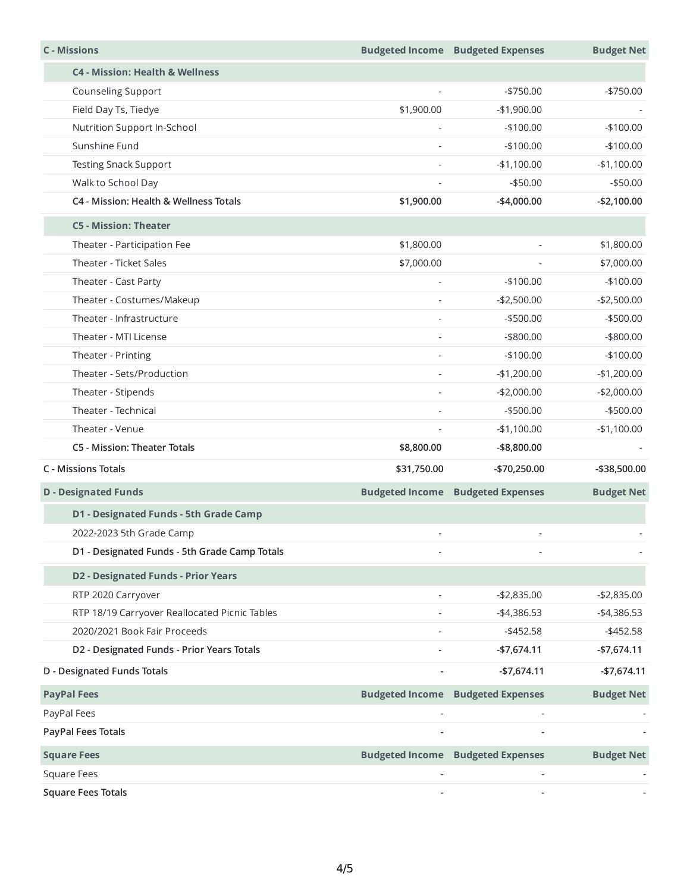| <b>C</b> - Missions                           |                          | <b>Budgeted Income Budgeted Expenses</b> | <b>Budget Net</b> |
|-----------------------------------------------|--------------------------|------------------------------------------|-------------------|
| <b>C4 - Mission: Health &amp; Wellness</b>    |                          |                                          |                   |
| Counseling Support                            | $\overline{\phantom{a}}$ | $-$750.00$                               | $-$750.00$        |
| Field Day Ts, Tiedye                          | \$1,900.00               | $-$1,900.00$                             |                   |
| Nutrition Support In-School                   | $\sim$                   | $-$100.00$                               | $-$100.00$        |
| Sunshine Fund                                 |                          | $-$100.00$                               | $-$100.00$        |
| <b>Testing Snack Support</b>                  | $\sim$                   | $-$1,100.00$                             | $-$1,100.00$      |
| Walk to School Day                            |                          | $-$50.00$                                | $-$50.00$         |
| C4 - Mission: Health & Wellness Totals        | \$1,900.00               | $-$4,000.00$                             | $-$2,100.00$      |
| <b>C5 - Mission: Theater</b>                  |                          |                                          |                   |
| Theater - Participation Fee                   | \$1,800.00               | $\overline{\phantom{a}}$                 | \$1,800.00        |
| Theater - Ticket Sales                        | \$7,000.00               |                                          | \$7,000.00        |
| Theater - Cast Party                          |                          | $-$100.00$                               | $-$100.00$        |
| Theater - Costumes/Makeup                     | $\overline{\phantom{a}}$ | $-$2,500.00$                             | $-$2,500.00$      |
| Theater - Infrastructure                      |                          | $-$ \$500.00                             | $-$ \$500.00      |
| Theater - MTI License                         |                          | $-$ \$800.00                             | -\$800.00         |
| Theater - Printing                            |                          | $-$100.00$                               | $-$100.00$        |
| Theater - Sets/Production                     |                          | $-$1,200.00$                             | $-$1,200.00$      |
| Theater - Stipends                            |                          | $-$2,000.00$                             | $-$2,000.00$      |
| Theater - Technical                           |                          | $-$ \$500.00                             | $-$ \$500.00      |
| Theater - Venue                               | $\bar{\phantom{a}}$      | $-$1,100.00$                             | $-$1,100.00$      |
| <b>C5 - Mission: Theater Totals</b>           | \$8,800.00               | -\$8,800.00                              |                   |
| <b>C</b> - Missions Totals                    | \$31,750.00              | -\$70,250.00                             | -\$38,500.00      |
| <b>D</b> - Designated Funds                   | <b>Budgeted Income</b>   | <b>Budgeted Expenses</b>                 | <b>Budget Net</b> |
| D1 - Designated Funds - 5th Grade Camp        |                          |                                          |                   |
| 2022-2023 5th Grade Camp                      |                          |                                          |                   |
| D1 - Designated Funds - 5th Grade Camp Totals |                          |                                          |                   |
| <b>D2 - Designated Funds - Prior Years</b>    |                          |                                          |                   |
| RTP 2020 Carryover                            | $\sim$                   | $-$2,835.00$                             | $-$2,835.00$      |
| RTP 18/19 Carryover Reallocated Picnic Tables |                          | $-$4,386.53$                             | $-$4,386.53$      |
| 2020/2021 Book Fair Proceeds                  |                          | $-$ \$452.58                             | $- $452.58$       |
| D2 - Designated Funds - Prior Years Totals    |                          | $-$7,674.11$                             | $-$7,674.11$      |
| D - Designated Funds Totals                   |                          | $-$7,674.11$                             | $-$7,674.11$      |
| <b>PayPal Fees</b>                            |                          | <b>Budgeted Income Budgeted Expenses</b> | <b>Budget Net</b> |
| PayPal Fees                                   |                          |                                          |                   |
| PayPal Fees Totals                            |                          |                                          |                   |
| <b>Square Fees</b>                            |                          | <b>Budgeted Income Budgeted Expenses</b> | <b>Budget Net</b> |
| Square Fees                                   |                          |                                          |                   |
| <b>Square Fees Totals</b>                     |                          |                                          |                   |